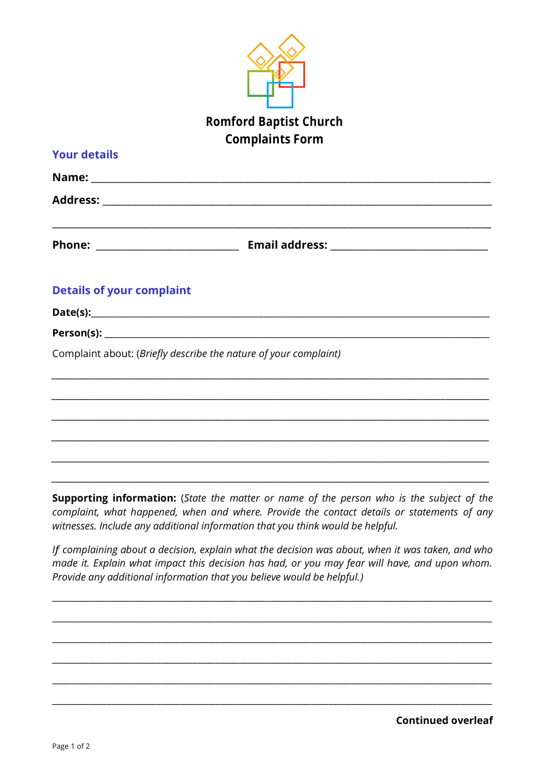

| <b>Your details</b>                                              |                                                                                                                                                                                                                                                                                                                                                                                                     |
|------------------------------------------------------------------|-----------------------------------------------------------------------------------------------------------------------------------------------------------------------------------------------------------------------------------------------------------------------------------------------------------------------------------------------------------------------------------------------------|
|                                                                  |                                                                                                                                                                                                                                                                                                                                                                                                     |
|                                                                  |                                                                                                                                                                                                                                                                                                                                                                                                     |
|                                                                  |                                                                                                                                                                                                                                                                                                                                                                                                     |
| <b>Details of your complaint</b>                                 |                                                                                                                                                                                                                                                                                                                                                                                                     |
|                                                                  |                                                                                                                                                                                                                                                                                                                                                                                                     |
|                                                                  |                                                                                                                                                                                                                                                                                                                                                                                                     |
| Complaint about: (Briefly describe the nature of your complaint) |                                                                                                                                                                                                                                                                                                                                                                                                     |
|                                                                  |                                                                                                                                                                                                                                                                                                                                                                                                     |
|                                                                  | ,我们也不能在这里的时候,我们也不能在这里的时候,我们也不能会在这里,我们也不能会不能会不能会不能会不能会不能会。""我们,我们也不能会不能会不能会不能会不能会                                                                                                                                                                                                                                                                                                                    |
|                                                                  |                                                                                                                                                                                                                                                                                                                                                                                                     |
|                                                                  | <b>Supporting information:</b> (State the matter or name of the person who is the subject of the<br>complaint, what happened, when and where. Provide the contact details or statements of any<br>witnesses. Include any additional information that you think would be helpful.<br>1000 - 1000 - 1000 - 1000 - 1000 - 1000 - 1000 - 1000 - 1000 - 1000 - 1000 - 1000 - 1000 - 1000 - 1000 - 1000 - |

If complaining about a decision, explain what the decision was about, when it was taken, and who made it. Explain what impact this decision has had, or you may fear will have, and upon whom. Provide any additional information that you believe would be helpful.)